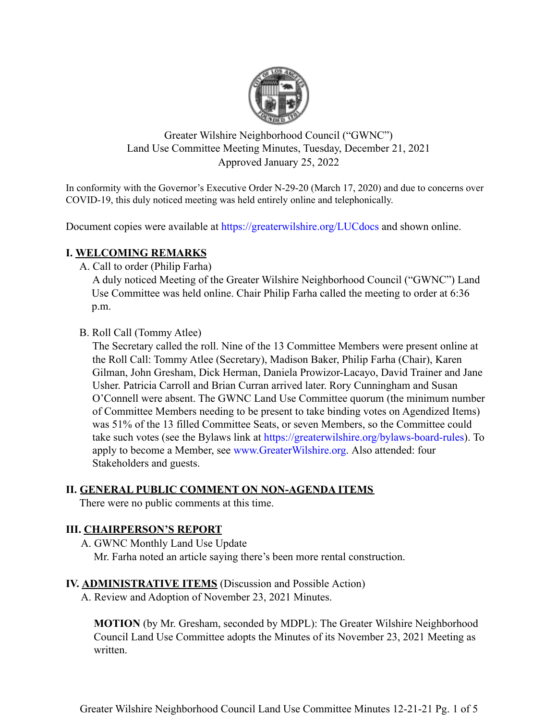

Greater Wilshire Neighborhood Council ("GWNC") Land Use Committee Meeting Minutes, Tuesday, December 21, 2021 Approved January 25, 2022

In conformity with the Governor's Executive Order N-29-20 (March 17, 2020) and due to concerns over COVID-19, this duly noticed meeting was held entirely online and telephonically.

Document copies were available at https://greaterwilshire.org/LUCdocs and shown online.

## **I. WELCOMING REMARKS**

A. Call to order (Philip Farha)

A duly noticed Meeting of the Greater Wilshire Neighborhood Council ("GWNC") Land Use Committee was held online. Chair Philip Farha called the meeting to order at 6:36 p.m.

B. Roll Call (Tommy Atlee)

The Secretary called the roll. Nine of the 13 Committee Members were present online at the Roll Call: Tommy Atlee (Secretary), Madison Baker, Philip Farha (Chair), Karen Gilman, John Gresham, Dick Herman, Daniela Prowizor-Lacayo, David Trainer and Jane Usher. Patricia Carroll and Brian Curran arrived later. Rory Cunningham and Susan O'Connell were absent. The GWNC Land Use Committee quorum (the minimum number of Committee Members needing to be present to take binding votes on Agendized Items) was 51% of the 13 filled Committee Seats, or seven Members, so the Committee could take such votes (see the Bylaws link at https://greaterwilshire.org/bylaws-board-rules). To apply to become a Member, see www.GreaterWilshire.org. Also attended: four Stakeholders and guests.

### **II. GENERAL PUBLIC COMMENT ON NON-AGENDA ITEMS**

There were no public comments at this time.

# **III. CHAIRPERSON'S REPORT**

A. GWNC Monthly Land Use Update

Mr. Farha noted an article saying there's been more rental construction.

# **IV. ADMINISTRATIVE ITEMS** (Discussion and Possible Action)

A. Review and Adoption of November 23, 2021 Minutes.

**MOTION** (by Mr. Gresham, seconded by MDPL): The Greater Wilshire Neighborhood Council Land Use Committee adopts the Minutes of its November 23, 2021 Meeting as written.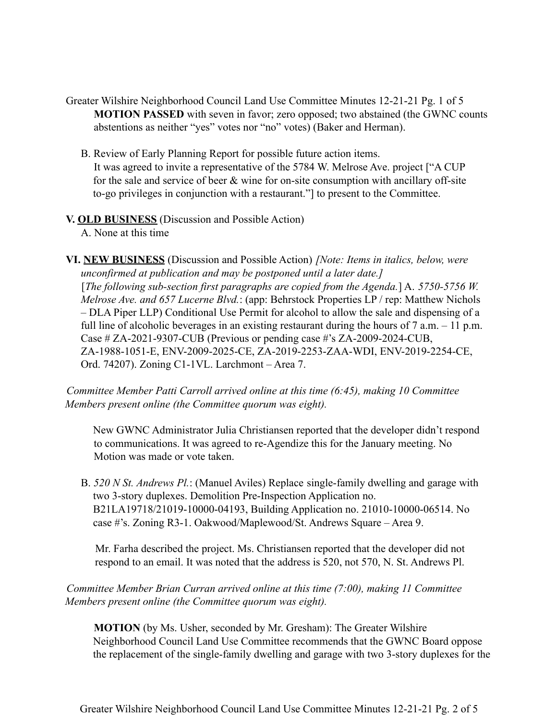- Greater Wilshire Neighborhood Council Land Use Committee Minutes 12-21-21 Pg. 1 of 5 **MOTION PASSED** with seven in favor; zero opposed; two abstained (the GWNC counts abstentions as neither "yes" votes nor "no" votes) (Baker and Herman).
	- B. Review of Early Planning Report for possible future action items. It was agreed to invite a representative of the 5784 W. Melrose Ave. project ["A CUP for the sale and service of beer  $\&$  wine for on-site consumption with ancillary off-site to-go privileges in conjunction with a restaurant."] to present to the Committee.

#### **V. OLD BUSINESS** (Discussion and Possible Action)

A. None at this time

**VI. NEW BUSINESS** (Discussion and Possible Action) *[Note: Items in italics, below, were unconfirmed at publication and may be postponed until a later date.]* [*The following sub-section first paragraphs are copied from the Agenda.*] A. *5750-5756 W. Melrose Ave. and 657 Lucerne Blvd.*: (app: Behrstock Properties LP / rep: Matthew Nichols – DLA Piper LLP) Conditional Use Permit for alcohol to allow the sale and dispensing of a full line of alcoholic beverages in an existing restaurant during the hours of 7 a.m. – 11 p.m. Case # ZA-2021-9307-CUB (Previous or pending case #'s ZA-2009-2024-CUB, ZA-1988-1051-E, ENV-2009-2025-CE, ZA-2019-2253-ZAA-WDI, ENV-2019-2254-CE, Ord. 74207). Zoning C1-1VL. Larchmont – Area 7.

*Committee Member Patti Carroll arrived online at this time (6:45), making 10 Committee Members present online (the Committee quorum was eight).*

New GWNC Administrator Julia Christiansen reported that the developer didn't respond to communications. It was agreed to re-Agendize this for the January meeting. No Motion was made or vote taken.

B. *520 N St. Andrews Pl.*: (Manuel Aviles) Replace single-family dwelling and garage with two 3-story duplexes. Demolition Pre-Inspection Application no. B21LA19718/21019-10000-04193, Building Application no. 21010-10000-06514. No case #'s. Zoning R3-1. Oakwood/Maplewood/St. Andrews Square – Area 9.

Mr. Farha described the project. Ms. Christiansen reported that the developer did not respond to an email. It was noted that the address is 520, not 570, N. St. Andrews Pl.

*Committee Member Brian Curran arrived online at this time (7:00), making 11 Committee Members present online (the Committee quorum was eight).*

**MOTION** (by Ms. Usher, seconded by Mr. Gresham): The Greater Wilshire Neighborhood Council Land Use Committee recommends that the GWNC Board oppose the replacement of the single-family dwelling and garage with two 3-story duplexes for the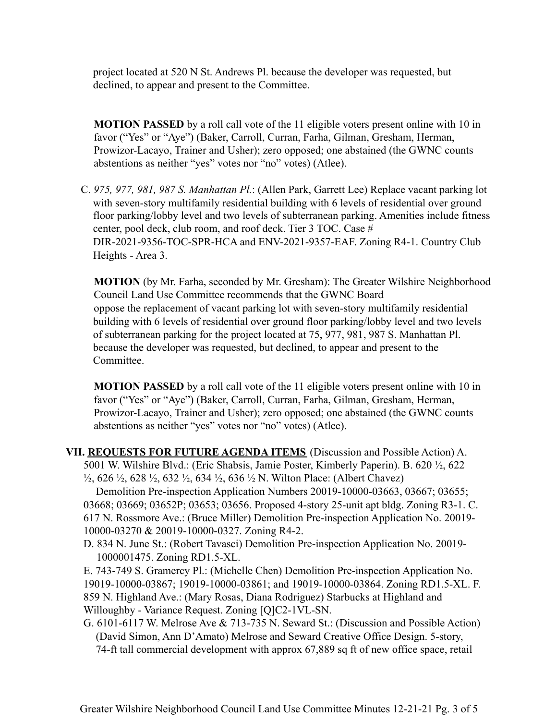project located at 520 N St. Andrews Pl. because the developer was requested, but declined, to appear and present to the Committee.

**MOTION PASSED** by a roll call vote of the 11 eligible voters present online with 10 in favor ("Yes" or "Aye") (Baker, Carroll, Curran, Farha, Gilman, Gresham, Herman, Prowizor-Lacayo, Trainer and Usher); zero opposed; one abstained (the GWNC counts abstentions as neither "yes" votes nor "no" votes) (Atlee).

C. *975, 977, 981, 987 S. Manhattan Pl.*: (Allen Park, Garrett Lee) Replace vacant parking lot with seven-story multifamily residential building with 6 levels of residential over ground floor parking/lobby level and two levels of subterranean parking. Amenities include fitness center, pool deck, club room, and roof deck. Tier 3 TOC. Case # DIR-2021-9356-TOC-SPR-HCA and ENV-2021-9357-EAF. Zoning R4-1. Country Club Heights - Area 3.

**MOTION** (by Mr. Farha, seconded by Mr. Gresham): The Greater Wilshire Neighborhood Council Land Use Committee recommends that the GWNC Board oppose the replacement of vacant parking lot with seven-story multifamily residential building with 6 levels of residential over ground floor parking/lobby level and two levels of subterranean parking for the project located at 75, 977, 981, 987 S. Manhattan Pl. because the developer was requested, but declined, to appear and present to the Committee.

**MOTION PASSED** by a roll call vote of the 11 eligible voters present online with 10 in favor ("Yes" or "Aye") (Baker, Carroll, Curran, Farha, Gilman, Gresham, Herman, Prowizor-Lacayo, Trainer and Usher); zero opposed; one abstained (the GWNC counts abstentions as neither "yes" votes nor "no" votes) (Atlee).

**VII. REQUESTS FOR FUTURE AGENDA ITEMS** (Discussion and Possible Action) A. 5001 W. Wilshire Blvd.: (Eric Shabsis, Jamie Poster, Kimberly Paperin). B. 620 ½, 622  $\frac{1}{2}$ , 626  $\frac{1}{2}$ , 628  $\frac{1}{2}$ , 632  $\frac{1}{2}$ , 634  $\frac{1}{2}$ , 636  $\frac{1}{2}$  N. Wilton Place: (Albert Chavez)

Demolition Pre-inspection Application Numbers 20019-10000-03663, 03667; 03655; 03668; 03669; 03652P; 03653; 03656. Proposed 4-story 25-unit apt bldg. Zoning R3-1. C. 617 N. Rossmore Ave.: (Bruce Miller) Demolition Pre-inspection Application No. 20019- 10000-03270 & 20019-10000-0327. Zoning R4-2.

D. 834 N. June St.: (Robert Tavasci) Demolition Pre-inspection Application No. 20019- 1000001475. Zoning RD1.5-XL.

E. 743-749 S. Gramercy Pl.: (Michelle Chen) Demolition Pre-inspection Application No. 19019-10000-03867; 19019-10000-03861; and 19019-10000-03864. Zoning RD1.5-XL. F. 859 N. Highland Ave.: (Mary Rosas, Diana Rodriguez) Starbucks at Highland and Willoughby - Variance Request. Zoning [Q]C2-1VL-SN.

G. 6101-6117 W. Melrose Ave & 713-735 N. Seward St.: (Discussion and Possible Action) (David Simon, Ann D'Amato) Melrose and Seward Creative Office Design. 5-story, 74-ft tall commercial development with approx 67,889 sq ft of new office space, retail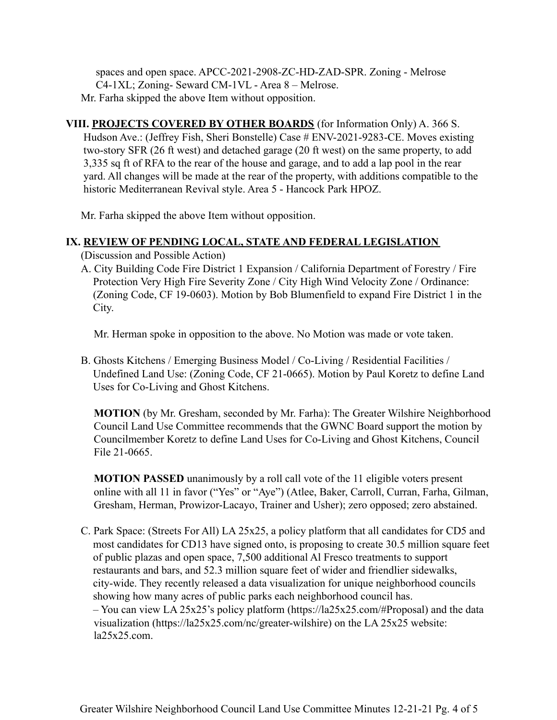spaces and open space. APCC-2021-2908-ZC-HD-ZAD-SPR. Zoning - Melrose C4-1XL; Zoning- Seward CM-1VL - Area 8 – Melrose. Mr. Farha skipped the above Item without opposition.

**VIII. PROJECTS COVERED BY OTHER BOARDS** (for Information Only) A. 366 S. Hudson Ave.: (Jeffrey Fish, Sheri Bonstelle) Case # ENV-2021-9283-CE. Moves existing two-story SFR (26 ft west) and detached garage (20 ft west) on the same property, to add 3,335 sq ft of RFA to the rear of the house and garage, and to add a lap pool in the rear yard. All changes will be made at the rear of the property, with additions compatible to the historic Mediterranean Revival style. Area 5 - Hancock Park HPOZ.

Mr. Farha skipped the above Item without opposition.

### **IX. REVIEW OF PENDING LOCAL, STATE AND FEDERAL LEGISLATION**

(Discussion and Possible Action)

A. City Building Code Fire District 1 Expansion / California Department of Forestry / Fire Protection Very High Fire Severity Zone / City High Wind Velocity Zone / Ordinance: (Zoning Code, CF 19-0603). Motion by Bob Blumenfield to expand Fire District 1 in the City.

Mr. Herman spoke in opposition to the above. No Motion was made or vote taken.

B. Ghosts Kitchens / Emerging Business Model / Co-Living / Residential Facilities / Undefined Land Use: (Zoning Code, CF 21-0665). Motion by Paul Koretz to define Land Uses for Co-Living and Ghost Kitchens.

**MOTION** (by Mr. Gresham, seconded by Mr. Farha): The Greater Wilshire Neighborhood Council Land Use Committee recommends that the GWNC Board support the motion by Councilmember Koretz to define Land Uses for Co-Living and Ghost Kitchens, Council File 21-0665.

**MOTION PASSED** unanimously by a roll call vote of the 11 eligible voters present online with all 11 in favor ("Yes" or "Aye") (Atlee, Baker, Carroll, Curran, Farha, Gilman, Gresham, Herman, Prowizor-Lacayo, Trainer and Usher); zero opposed; zero abstained.

C. Park Space: (Streets For All) LA 25x25, a policy platform that all candidates for CD5 and most candidates for CD13 have signed onto, is proposing to create 30.5 million square feet of public plazas and open space, 7,500 additional Al Fresco treatments to support restaurants and bars, and 52.3 million square feet of wider and friendlier sidewalks, city-wide. They recently released a data visualization for unique neighborhood councils showing how many acres of public parks each neighborhood council has. – You can view LA 25x25's policy platform (https://la25x25.com/#Proposal) and the data visualization (https://la25x25.com/nc/greater-wilshire) on the LA 25x25 website: la25x25.com.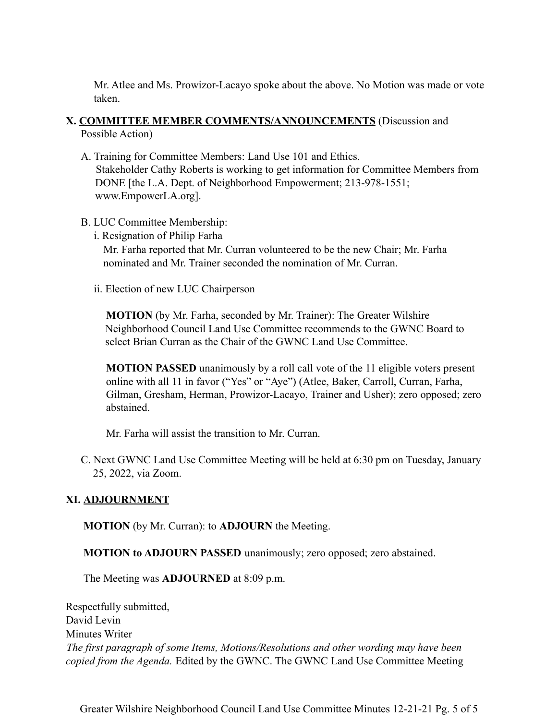Mr. Atlee and Ms. Prowizor-Lacayo spoke about the above. No Motion was made or vote taken.

## **X. COMMITTEE MEMBER COMMENTS/ANNOUNCEMENTS** (Discussion and Possible Action)

- A. Training for Committee Members: Land Use 101 and Ethics. Stakeholder Cathy Roberts is working to get information for Committee Members from DONE [the L.A. Dept. of Neighborhood Empowerment; 213-978-1551; www.EmpowerLA.org].
- B. LUC Committee Membership:
	- i. Resignation of Philip Farha Mr. Farha reported that Mr. Curran volunteered to be the new Chair; Mr. Farha nominated and Mr. Trainer seconded the nomination of Mr. Curran.
	- ii. Election of new LUC Chairperson

**MOTION** (by Mr. Farha, seconded by Mr. Trainer): The Greater Wilshire Neighborhood Council Land Use Committee recommends to the GWNC Board to select Brian Curran as the Chair of the GWNC Land Use Committee.

**MOTION PASSED** unanimously by a roll call vote of the 11 eligible voters present online with all 11 in favor ("Yes" or "Aye") (Atlee, Baker, Carroll, Curran, Farha, Gilman, Gresham, Herman, Prowizor-Lacayo, Trainer and Usher); zero opposed; zero abstained.

Mr. Farha will assist the transition to Mr. Curran.

C. Next GWNC Land Use Committee Meeting will be held at 6:30 pm on Tuesday, January 25, 2022, via Zoom.

# **XI. ADJOURNMENT**

**MOTION** (by Mr. Curran): to **ADJOURN** the Meeting.

**MOTION to ADJOURN PASSED** unanimously; zero opposed; zero abstained.

The Meeting was **ADJOURNED** at 8:09 p.m.

Respectfully submitted, David Levin Minutes Writer *The first paragraph of some Items, Motions/Resolutions and other wording may have been copied from the Agenda.* Edited by the GWNC. The GWNC Land Use Committee Meeting